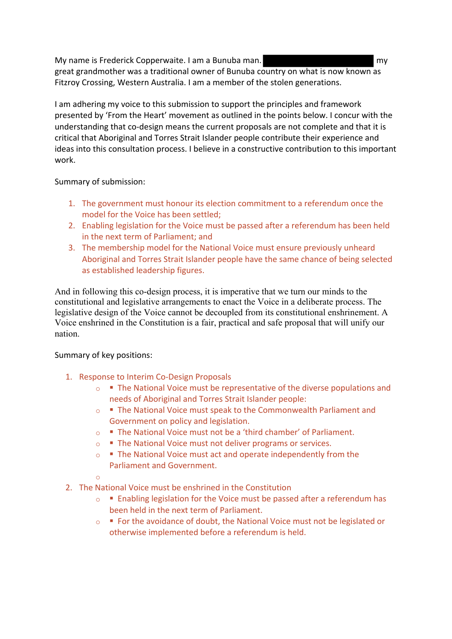My name is Frederick Copperwaite. I am a Bunuba man. great grandmother was a traditional owner of Bunuba country on what is now known as Fitzroy Crossing, Western Australia. I am a member of the stolen generations.

I am adhering my voice to this submission to support the principles and framework presented by 'From the Heart' movement as outlined in the points below. I concur with the understanding that co-design means the current proposals are not complete and that it is critical that Aboriginal and Torres Strait Islander people contribute their experience and ideas into this consultation process. I believe in a constructive contribution to this important work.

Summary of submission:

- 1. The government must honour its election commitment to a referendum once the model for the Voice has been settled;
- 2. Enabling legislation for the Voice must be passed after a referendum has been held in the next term of Parliament; and
- 3. The membership model for the National Voice must ensure previously unheard Aboriginal and Torres Strait Islander people have the same chance of being selected as established leadership figures.

And in following this co-design process, it is imperative that we turn our minds to the constitutional and legislative arrangements to enact the Voice in a deliberate process. The legislative design of the Voice cannot be decoupled from its constitutional enshrinement. A Voice enshrined in the Constitution is a fair, practical and safe proposal that will unify our nation.

## Summary of key positions:

- 1. Response to Interim Co-Design Proposals
	- $\circ$  **■** The National Voice must be representative of the diverse populations and needs of Aboriginal and Torres Strait Islander people:
	- o § The National Voice must speak to the Commonwealth Parliament and Government on policy and legislation.
	- $\circ$  **•** The National Voice must not be a 'third chamber' of Parliament.
	- ■ The National Voice must not deliver programs or services.
	- $\circ$  **■** The National Voice must act and operate independently from the Parliament and Government.
	- o
- 2. The National Voice must be enshrined in the Constitution
	- $\circ$  **■** Enabling legislation for the Voice must be passed after a referendum has been held in the next term of Parliament.
	- ■ For the avoidance of doubt, the National Voice must not be legislated or otherwise implemented before a referendum is held.